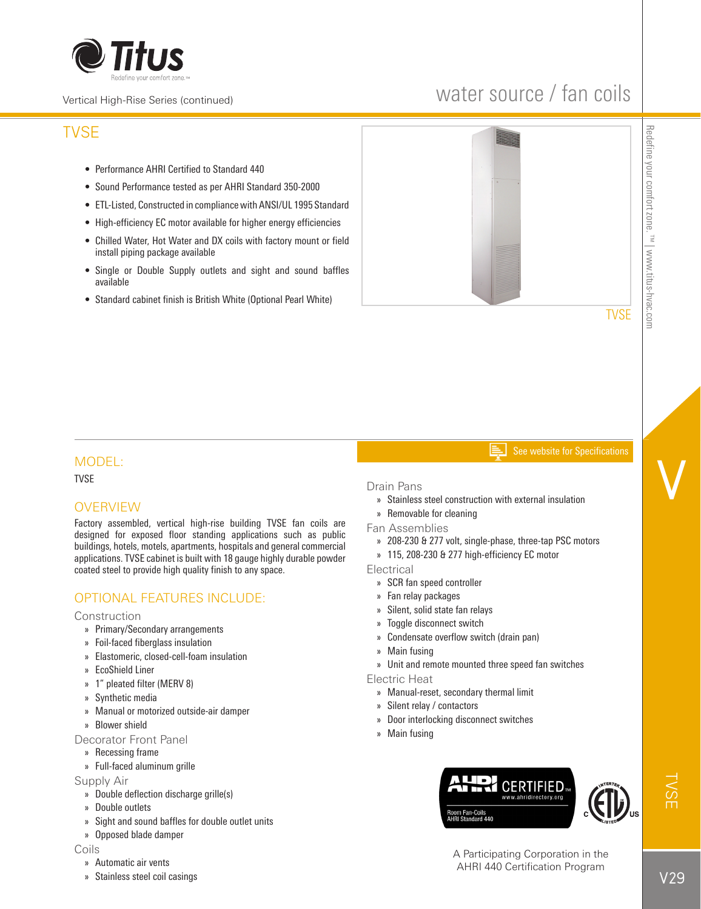

### Vertical High-Rise Series (continued)

## water source / fan coils

## TVSE

- Performance AHRI Certified to Standard 440
- Sound Performance tested as per AHRI Standard 350-2000
- ETL-Listed, Constructed in compliance with ANSI/UL 1995 Standard
- High-efficiency EC motor available for higher energy efficiencies
- Chilled Water, Hot Water and DX coils with factory mount or field install piping package available
- Single or Double Supply outlets and sight and sound baffles available
- Standard cabinet finish is British White (Optional Pearl White)



V

#### See website for Specifications

## MODEL:

TVSE

## **OVERVIEW**

Factory assembled, vertical high-rise building TVSE fan coils are designed for exposed floor standing applications such as public buildings, hotels, motels, apartments, hospitals and general commercial applications. TVSE cabinet is built with 18 gauge highly durable powder coated steel to provide high quality finish to any space.

## OPTIONAL FEATURES INCLUDE:

## **Construction**

- » Primary/Secondary arrangements
- » Foil-faced fiberglass insulation
- » Elastomeric, closed-cell-foam insulation
- » EcoShield Liner
- » 1" pleated filter (MERV 8)
- » Synthetic media
- » Manual or motorized outside-air damper
- » Blower shield
- Decorator Front Panel
	- » Recessing frame
	- » Full-faced aluminum grille

## Supply Air

- » Double deflection discharge grille(s)
- » Double outlets
- » Sight and sound baffles for double outlet units
- » Opposed blade damper

#### Coils

- » Automatic air vents
- » Stainless steel coil casings

## Drain Pans

- » Stainless steel construction with external insulation
- » Removable for cleaning
- Fan Assemblies
	- » 208-230 & 277 volt, single-phase, three-tap PSC motors
	- » 115, 208-230 & 277 high-efficiency EC motor

**Electrical** 

- » SCR fan speed controller
- » Fan relay packages
- » Silent, solid state fan relays
- » Toggle disconnect switch
- » Condensate overflow switch (drain pan)
- » Main fusing
- » Unit and remote mounted three speed fan switches

Electric Heat

- » Manual-reset, secondary thermal limit
- » Silent relay / contactors
- » Door interlocking disconnect switches
- » Main fusing



A Participating Corporation in the AHRI 440 Certification Program

TVSE